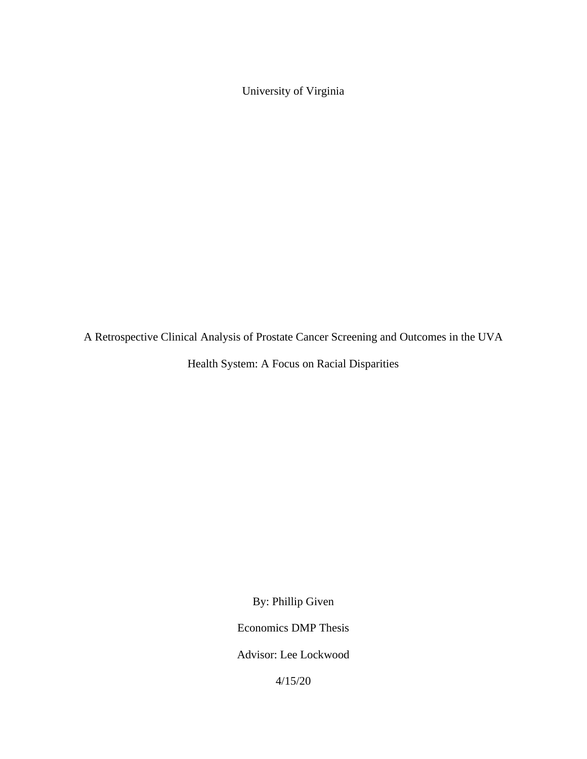University of Virginia

A Retrospective Clinical Analysis of Prostate Cancer Screening and Outcomes in the UVA

Health System: A Focus on Racial Disparities

By: Phillip Given

Economics DMP Thesis

Advisor: Lee Lockwood

4/15/20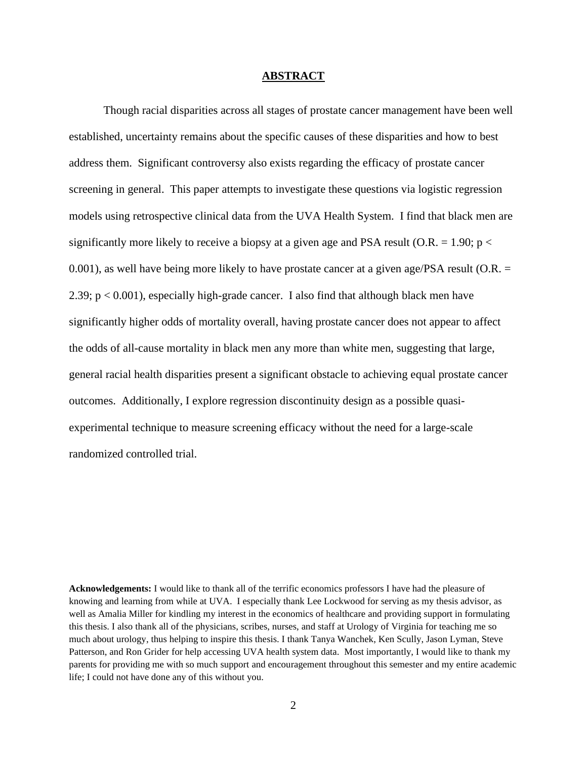#### **ABSTRACT**

Though racial disparities across all stages of prostate cancer management have been well established, uncertainty remains about the specific causes of these disparities and how to best address them. Significant controversy also exists regarding the efficacy of prostate cancer screening in general. This paper attempts to investigate these questions via logistic regression models using retrospective clinical data from the UVA Health System. I find that black men are significantly more likely to receive a biopsy at a given age and PSA result (O.R. = 1.90;  $p <$ 0.001), as well have being more likely to have prostate cancer at a given age/PSA result (O.R. = 2.39; p < 0.001), especially high-grade cancer. I also find that although black men have significantly higher odds of mortality overall, having prostate cancer does not appear to affect the odds of all-cause mortality in black men any more than white men, suggesting that large, general racial health disparities present a significant obstacle to achieving equal prostate cancer outcomes. Additionally, I explore regression discontinuity design as a possible quasiexperimental technique to measure screening efficacy without the need for a large-scale randomized controlled trial.

**Acknowledgements:** I would like to thank all of the terrific economics professors I have had the pleasure of knowing and learning from while at UVA. I especially thank Lee Lockwood for serving as my thesis advisor, as well as Amalia Miller for kindling my interest in the economics of healthcare and providing support in formulating this thesis. I also thank all of the physicians, scribes, nurses, and staff at Urology of Virginia for teaching me so much about urology, thus helping to inspire this thesis. I thank Tanya Wanchek, Ken Scully, Jason Lyman, Steve Patterson, and Ron Grider for help accessing UVA health system data. Most importantly, I would like to thank my parents for providing me with so much support and encouragement throughout this semester and my entire academic life; I could not have done any of this without you.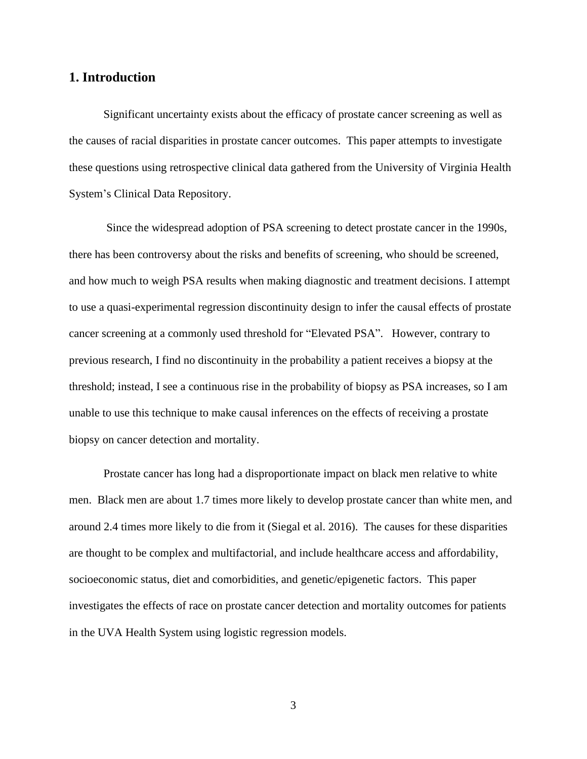## **1. Introduction**

Significant uncertainty exists about the efficacy of prostate cancer screening as well as the causes of racial disparities in prostate cancer outcomes. This paper attempts to investigate these questions using retrospective clinical data gathered from the University of Virginia Health System's Clinical Data Repository.

Since the widespread adoption of PSA screening to detect prostate cancer in the 1990s, there has been controversy about the risks and benefits of screening, who should be screened, and how much to weigh PSA results when making diagnostic and treatment decisions. I attempt to use a quasi-experimental regression discontinuity design to infer the causal effects of prostate cancer screening at a commonly used threshold for "Elevated PSA". However, contrary to previous research, I find no discontinuity in the probability a patient receives a biopsy at the threshold; instead, I see a continuous rise in the probability of biopsy as PSA increases, so I am unable to use this technique to make causal inferences on the effects of receiving a prostate biopsy on cancer detection and mortality.

Prostate cancer has long had a disproportionate impact on black men relative to white men. Black men are about 1.7 times more likely to develop prostate cancer than white men, and around 2.4 times more likely to die from it (Siegal et al. 2016). The causes for these disparities are thought to be complex and multifactorial, and include healthcare access and affordability, socioeconomic status, diet and comorbidities, and genetic/epigenetic factors. This paper investigates the effects of race on prostate cancer detection and mortality outcomes for patients in the UVA Health System using logistic regression models.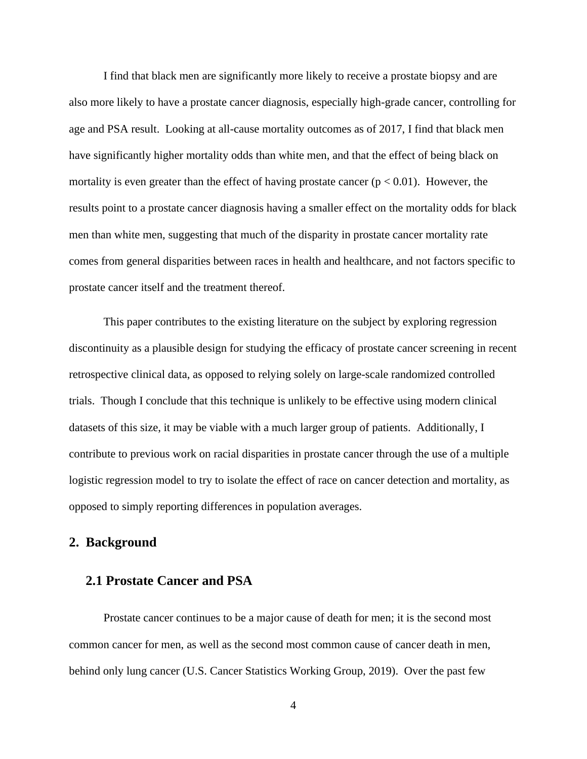I find that black men are significantly more likely to receive a prostate biopsy and are also more likely to have a prostate cancer diagnosis, especially high-grade cancer, controlling for age and PSA result. Looking at all-cause mortality outcomes as of 2017, I find that black men have significantly higher mortality odds than white men, and that the effect of being black on mortality is even greater than the effect of having prostate cancer ( $p < 0.01$ ). However, the results point to a prostate cancer diagnosis having a smaller effect on the mortality odds for black men than white men, suggesting that much of the disparity in prostate cancer mortality rate comes from general disparities between races in health and healthcare, and not factors specific to prostate cancer itself and the treatment thereof.

This paper contributes to the existing literature on the subject by exploring regression discontinuity as a plausible design for studying the efficacy of prostate cancer screening in recent retrospective clinical data, as opposed to relying solely on large-scale randomized controlled trials. Though I conclude that this technique is unlikely to be effective using modern clinical datasets of this size, it may be viable with a much larger group of patients. Additionally, I contribute to previous work on racial disparities in prostate cancer through the use of a multiple logistic regression model to try to isolate the effect of race on cancer detection and mortality, as opposed to simply reporting differences in population averages.

### **2. Background**

## **2.1 Prostate Cancer and PSA**

Prostate cancer continues to be a major cause of death for men; it is the second most common cancer for men, as well as the second most common cause of cancer death in men, behind only lung cancer (U.S. Cancer Statistics Working Group, 2019). Over the past few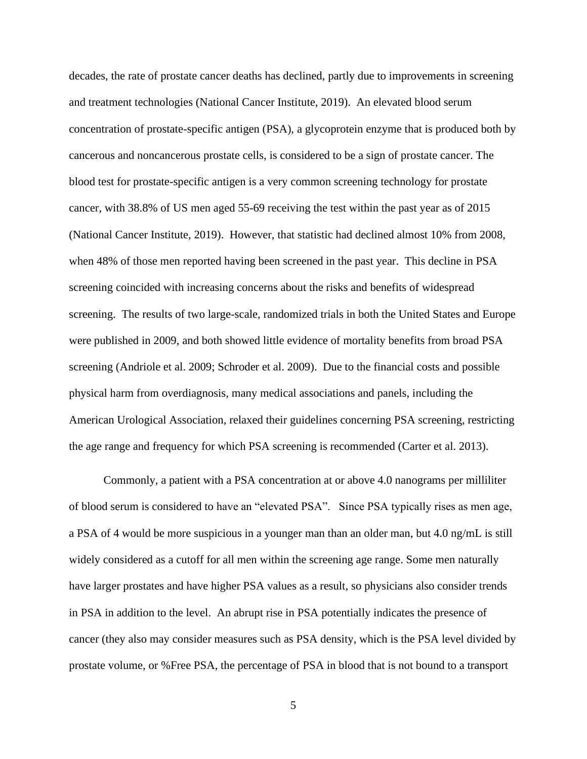decades, the rate of prostate cancer deaths has declined, partly due to improvements in screening and treatment technologies (National Cancer Institute, 2019). An elevated blood serum concentration of prostate-specific antigen (PSA), a glycoprotein enzyme that is produced both by cancerous and noncancerous prostate cells, is considered to be a sign of prostate cancer. The blood test for prostate-specific antigen is a very common screening technology for prostate cancer, with 38.8% of US men aged 55-69 receiving the test within the past year as of 2015 (National Cancer Institute, 2019). However, that statistic had declined almost 10% from 2008, when 48% of those men reported having been screened in the past year. This decline in PSA screening coincided with increasing concerns about the risks and benefits of widespread screening. The results of two large-scale, randomized trials in both the United States and Europe were published in 2009, and both showed little evidence of mortality benefits from broad PSA screening (Andriole et al. 2009; Schroder et al. 2009). Due to the financial costs and possible physical harm from overdiagnosis, many medical associations and panels, including the American Urological Association, relaxed their guidelines concerning PSA screening, restricting the age range and frequency for which PSA screening is recommended (Carter et al. 2013).

Commonly, a patient with a PSA concentration at or above 4.0 nanograms per milliliter of blood serum is considered to have an "elevated PSA". Since PSA typically rises as men age, a PSA of 4 would be more suspicious in a younger man than an older man, but 4.0 ng/mL is still widely considered as a cutoff for all men within the screening age range. Some men naturally have larger prostates and have higher PSA values as a result, so physicians also consider trends in PSA in addition to the level. An abrupt rise in PSA potentially indicates the presence of cancer (they also may consider measures such as PSA density, which is the PSA level divided by prostate volume, or %Free PSA, the percentage of PSA in blood that is not bound to a transport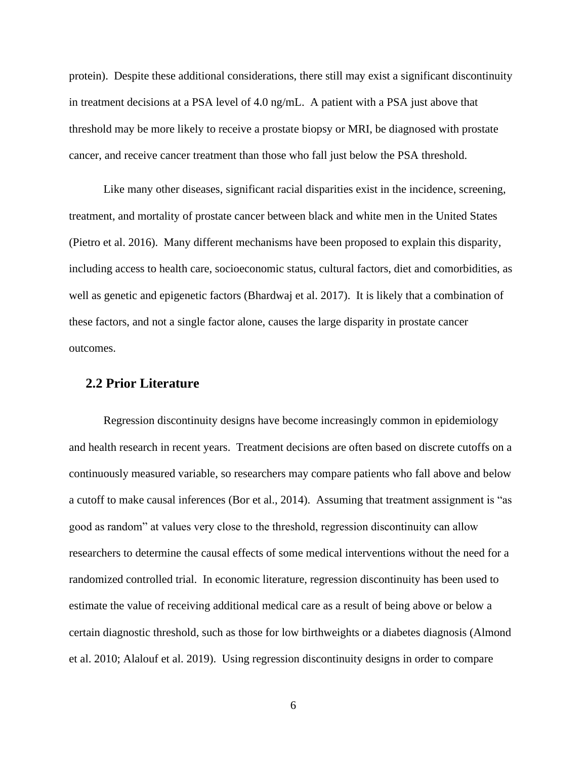protein). Despite these additional considerations, there still may exist a significant discontinuity in treatment decisions at a PSA level of 4.0 ng/mL. A patient with a PSA just above that threshold may be more likely to receive a prostate biopsy or MRI, be diagnosed with prostate cancer, and receive cancer treatment than those who fall just below the PSA threshold.

Like many other diseases, significant racial disparities exist in the incidence, screening, treatment, and mortality of prostate cancer between black and white men in the United States (Pietro et al. 2016). Many different mechanisms have been proposed to explain this disparity, including access to health care, socioeconomic status, cultural factors, diet and comorbidities, as well as genetic and epigenetic factors (Bhardwaj et al. 2017). It is likely that a combination of these factors, and not a single factor alone, causes the large disparity in prostate cancer outcomes.

### **2.2 Prior Literature**

Regression discontinuity designs have become increasingly common in epidemiology and health research in recent years. Treatment decisions are often based on discrete cutoffs on a continuously measured variable, so researchers may compare patients who fall above and below a cutoff to make causal inferences (Bor et al., 2014). Assuming that treatment assignment is "as good as random" at values very close to the threshold, regression discontinuity can allow researchers to determine the causal effects of some medical interventions without the need for a randomized controlled trial. In economic literature, regression discontinuity has been used to estimate the value of receiving additional medical care as a result of being above or below a certain diagnostic threshold, such as those for low birthweights or a diabetes diagnosis (Almond et al. 2010; Alalouf et al. 2019). Using regression discontinuity designs in order to compare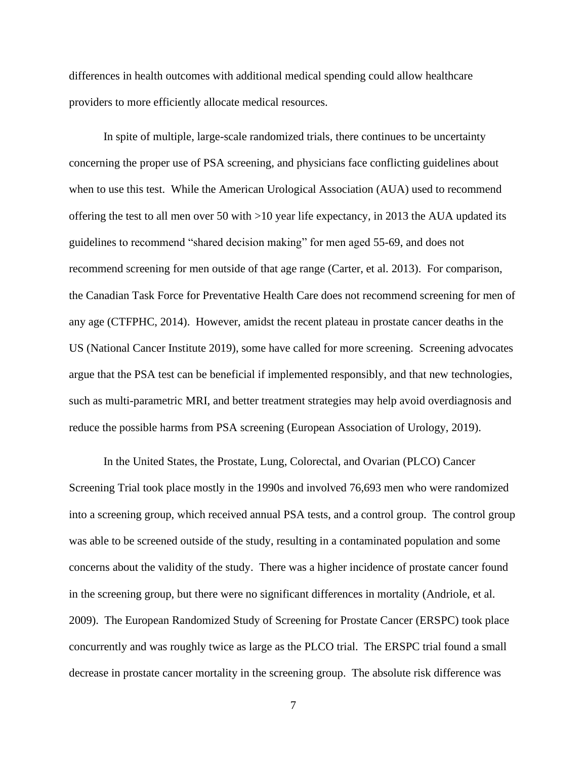differences in health outcomes with additional medical spending could allow healthcare providers to more efficiently allocate medical resources.

In spite of multiple, large-scale randomized trials, there continues to be uncertainty concerning the proper use of PSA screening, and physicians face conflicting guidelines about when to use this test. While the American Urological Association (AUA) used to recommend offering the test to all men over 50 with >10 year life expectancy, in 2013 the AUA updated its guidelines to recommend "shared decision making" for men aged 55-69, and does not recommend screening for men outside of that age range (Carter, et al. 2013). For comparison, the Canadian Task Force for Preventative Health Care does not recommend screening for men of any age (CTFPHC, 2014). However, amidst the recent plateau in prostate cancer deaths in the US (National Cancer Institute 2019), some have called for more screening. Screening advocates argue that the PSA test can be beneficial if implemented responsibly, and that new technologies, such as multi-parametric MRI, and better treatment strategies may help avoid overdiagnosis and reduce the possible harms from PSA screening (European Association of Urology, 2019).

In the United States, the Prostate, Lung, Colorectal, and Ovarian (PLCO) Cancer Screening Trial took place mostly in the 1990s and involved 76,693 men who were randomized into a screening group, which received annual PSA tests, and a control group. The control group was able to be screened outside of the study, resulting in a contaminated population and some concerns about the validity of the study. There was a higher incidence of prostate cancer found in the screening group, but there were no significant differences in mortality (Andriole, et al. 2009). The European Randomized Study of Screening for Prostate Cancer (ERSPC) took place concurrently and was roughly twice as large as the PLCO trial. The ERSPC trial found a small decrease in prostate cancer mortality in the screening group. The absolute risk difference was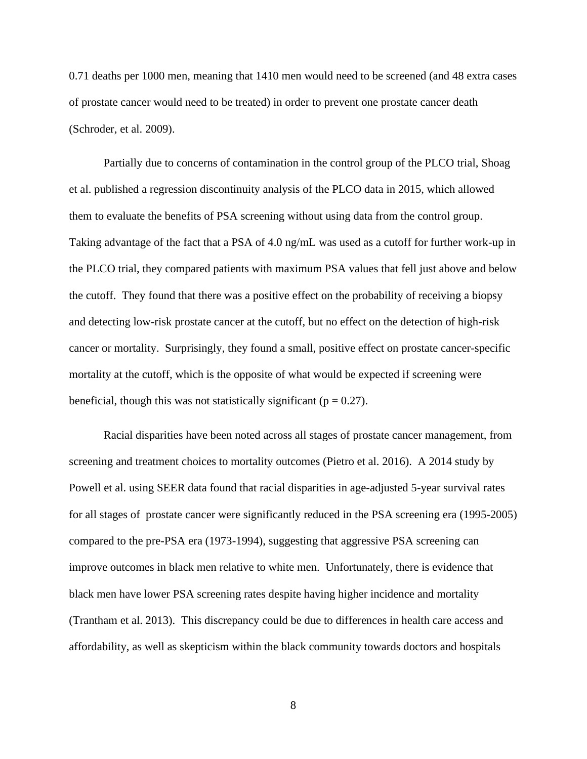0.71 deaths per 1000 men, meaning that 1410 men would need to be screened (and 48 extra cases of prostate cancer would need to be treated) in order to prevent one prostate cancer death (Schroder, et al. 2009).

Partially due to concerns of contamination in the control group of the PLCO trial, Shoag et al. published a regression discontinuity analysis of the PLCO data in 2015, which allowed them to evaluate the benefits of PSA screening without using data from the control group. Taking advantage of the fact that a PSA of 4.0 ng/mL was used as a cutoff for further work-up in the PLCO trial, they compared patients with maximum PSA values that fell just above and below the cutoff. They found that there was a positive effect on the probability of receiving a biopsy and detecting low-risk prostate cancer at the cutoff, but no effect on the detection of high-risk cancer or mortality. Surprisingly, they found a small, positive effect on prostate cancer-specific mortality at the cutoff, which is the opposite of what would be expected if screening were beneficial, though this was not statistically significant ( $p = 0.27$ ).

Racial disparities have been noted across all stages of prostate cancer management, from screening and treatment choices to mortality outcomes (Pietro et al. 2016). A 2014 study by Powell et al. using SEER data found that racial disparities in age-adjusted 5-year survival rates for all stages of prostate cancer were significantly reduced in the PSA screening era (1995-2005) compared to the pre-PSA era (1973-1994), suggesting that aggressive PSA screening can improve outcomes in black men relative to white men. Unfortunately, there is evidence that black men have lower PSA screening rates despite having higher incidence and mortality (Trantham et al. 2013). This discrepancy could be due to differences in health care access and affordability, as well as skepticism within the black community towards doctors and hospitals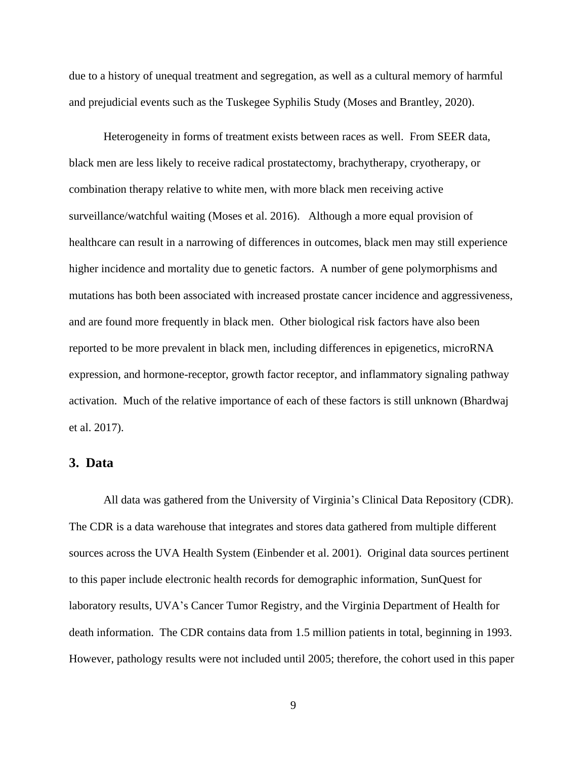due to a history of unequal treatment and segregation, as well as a cultural memory of harmful and prejudicial events such as the Tuskegee Syphilis Study (Moses and Brantley, 2020).

Heterogeneity in forms of treatment exists between races as well. From SEER data, black men are less likely to receive radical prostatectomy, brachytherapy, cryotherapy, or combination therapy relative to white men, with more black men receiving active surveillance/watchful waiting (Moses et al. 2016). Although a more equal provision of healthcare can result in a narrowing of differences in outcomes, black men may still experience higher incidence and mortality due to genetic factors. A number of gene polymorphisms and mutations has both been associated with increased prostate cancer incidence and aggressiveness, and are found more frequently in black men. Other biological risk factors have also been reported to be more prevalent in black men, including differences in epigenetics, microRNA expression, and hormone-receptor, growth factor receptor, and inflammatory signaling pathway activation. Much of the relative importance of each of these factors is still unknown (Bhardwaj et al. 2017).

## **3. Data**

All data was gathered from the University of Virginia's Clinical Data Repository (CDR). The CDR is a data warehouse that integrates and stores data gathered from multiple different sources across the UVA Health System (Einbender et al. 2001). Original data sources pertinent to this paper include electronic health records for demographic information, SunQuest for laboratory results, UVA's Cancer Tumor Registry, and the Virginia Department of Health for death information. The CDR contains data from 1.5 million patients in total, beginning in 1993. However, pathology results were not included until 2005; therefore, the cohort used in this paper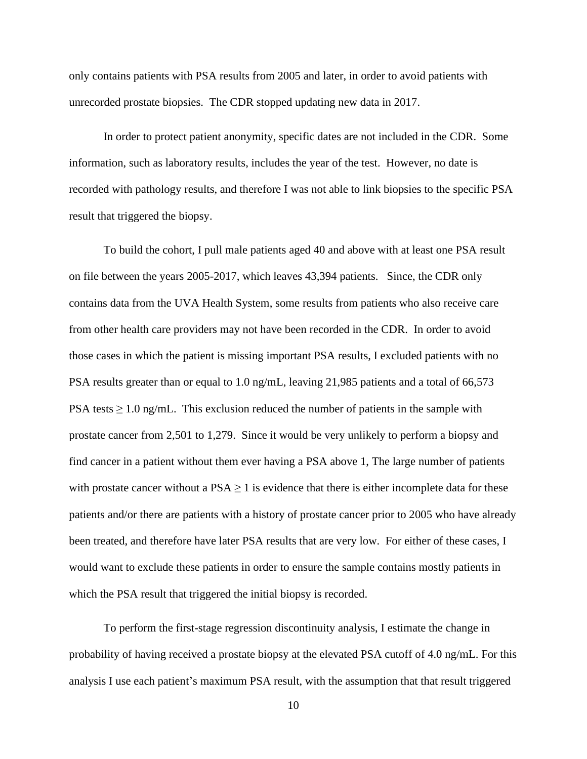only contains patients with PSA results from 2005 and later, in order to avoid patients with unrecorded prostate biopsies. The CDR stopped updating new data in 2017.

In order to protect patient anonymity, specific dates are not included in the CDR. Some information, such as laboratory results, includes the year of the test. However, no date is recorded with pathology results, and therefore I was not able to link biopsies to the specific PSA result that triggered the biopsy.

To build the cohort, I pull male patients aged 40 and above with at least one PSA result on file between the years 2005-2017, which leaves 43,394 patients. Since, the CDR only contains data from the UVA Health System, some results from patients who also receive care from other health care providers may not have been recorded in the CDR. In order to avoid those cases in which the patient is missing important PSA results, I excluded patients with no PSA results greater than or equal to 1.0 ng/mL, leaving 21,985 patients and a total of 66,573 PSA tests  $\geq 1.0$  ng/mL. This exclusion reduced the number of patients in the sample with prostate cancer from 2,501 to 1,279. Since it would be very unlikely to perform a biopsy and find cancer in a patient without them ever having a PSA above 1, The large number of patients with prostate cancer without a  $PSA \geq 1$  is evidence that there is either incomplete data for these patients and/or there are patients with a history of prostate cancer prior to 2005 who have already been treated, and therefore have later PSA results that are very low. For either of these cases, I would want to exclude these patients in order to ensure the sample contains mostly patients in which the PSA result that triggered the initial biopsy is recorded.

To perform the first-stage regression discontinuity analysis, I estimate the change in probability of having received a prostate biopsy at the elevated PSA cutoff of 4.0 ng/mL. For this analysis I use each patient's maximum PSA result, with the assumption that that result triggered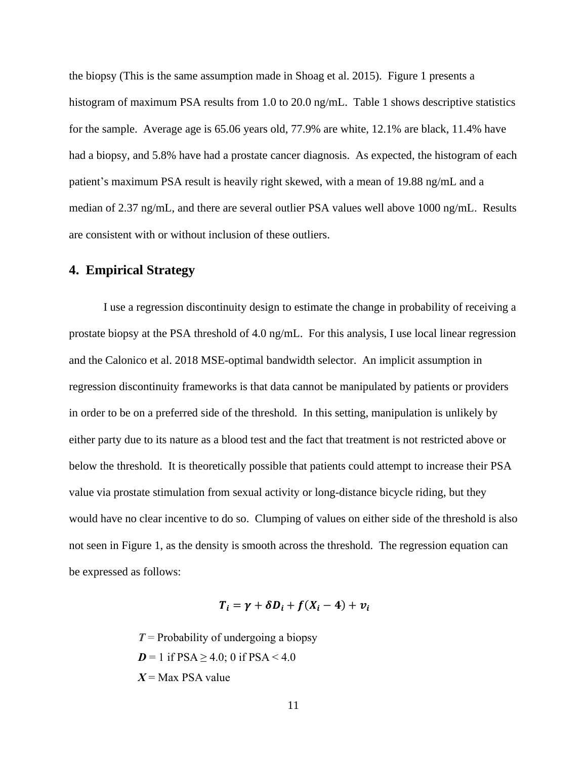the biopsy (This is the same assumption made in Shoag et al. 2015). Figure 1 presents a histogram of maximum PSA results from 1.0 to 20.0 ng/mL. Table 1 shows descriptive statistics for the sample. Average age is 65.06 years old, 77.9% are white, 12.1% are black, 11.4% have had a biopsy, and 5.8% have had a prostate cancer diagnosis. As expected, the histogram of each patient's maximum PSA result is heavily right skewed, with a mean of 19.88 ng/mL and a median of 2.37 ng/mL, and there are several outlier PSA values well above 1000 ng/mL. Results are consistent with or without inclusion of these outliers.

# **4. Empirical Strategy**

I use a regression discontinuity design to estimate the change in probability of receiving a prostate biopsy at the PSA threshold of 4.0 ng/mL. For this analysis, I use local linear regression and the Calonico et al. 2018 MSE-optimal bandwidth selector. An implicit assumption in regression discontinuity frameworks is that data cannot be manipulated by patients or providers in order to be on a preferred side of the threshold. In this setting, manipulation is unlikely by either party due to its nature as a blood test and the fact that treatment is not restricted above or below the threshold. It is theoretically possible that patients could attempt to increase their PSA value via prostate stimulation from sexual activity or long-distance bicycle riding, but they would have no clear incentive to do so. Clumping of values on either side of the threshold is also not seen in Figure 1, as the density is smooth across the threshold. The regression equation can be expressed as follows:

$$
T_i = \gamma + \delta D_i + f(X_i - 4) + v_i
$$

*T* = Probability of undergoing a biopsy  $D = 1$  if  $PSA \ge 4.0$ ; 0 if  $PSA < 4.0$ *X* = Max PSA value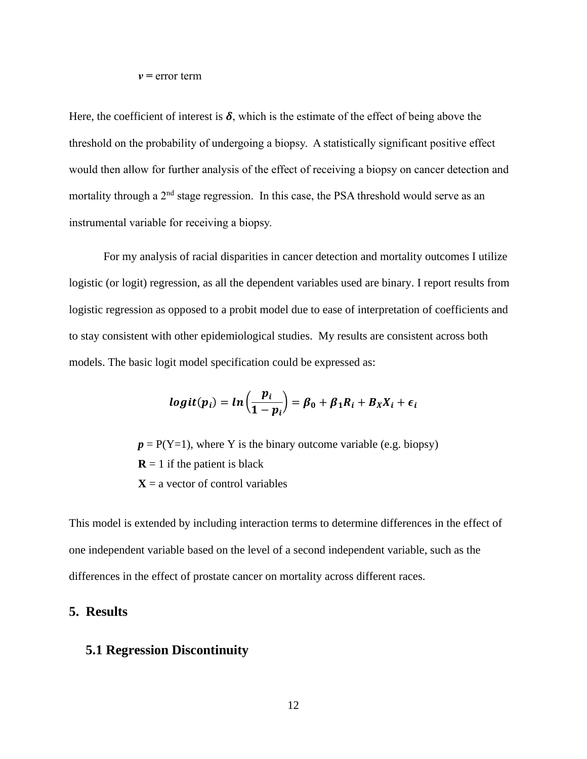#### *v =* error term

Here, the coefficient of interest is  $\delta$ , which is the estimate of the effect of being above the threshold on the probability of undergoing a biopsy. A statistically significant positive effect would then allow for further analysis of the effect of receiving a biopsy on cancer detection and mortality through a  $2<sup>nd</sup>$  stage regression. In this case, the PSA threshold would serve as an instrumental variable for receiving a biopsy.

For my analysis of racial disparities in cancer detection and mortality outcomes I utilize logistic (or logit) regression, as all the dependent variables used are binary. I report results from logistic regression as opposed to a probit model due to ease of interpretation of coefficients and to stay consistent with other epidemiological studies. My results are consistent across both models. The basic logit model specification could be expressed as:

$$
logit(p_i) = ln\left(\frac{p_i}{1-p_i}\right) = \beta_0 + \beta_1 R_i + B_X X_i + \epsilon_i
$$

 $p = P(Y=1)$ , where Y is the binary outcome variable (e.g. biopsy)  **if the patient is black**  $X = a$  vector of control variables

This model is extended by including interaction terms to determine differences in the effect of one independent variable based on the level of a second independent variable, such as the differences in the effect of prostate cancer on mortality across different races.

### **5. Results**

# **5.1 Regression Discontinuity**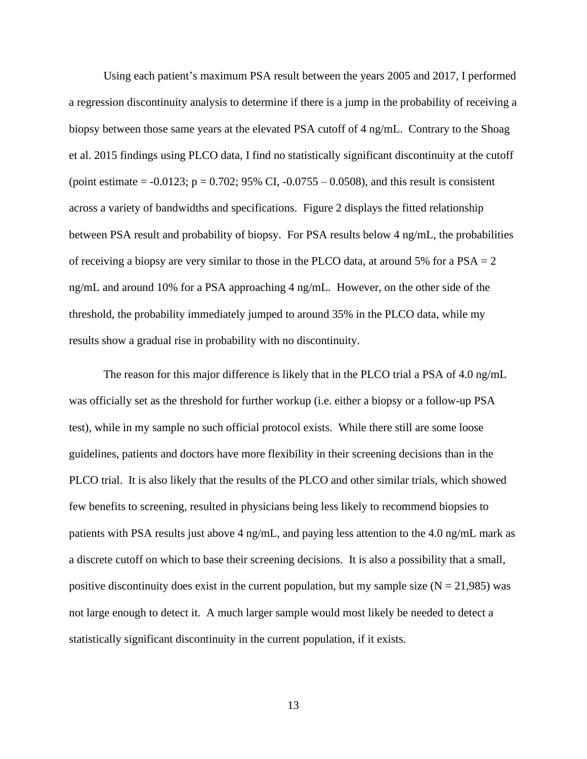Using each patient's maximum PSA result between the years 2005 and 2017, I performed a regression discontinuity analysis to determine if there is a jump in the probability of receiving a biopsy between those same years at the elevated PSA cutoff of 4 ng/mL. Contrary to the Shoag et al. 2015 findings using PLCO data, I find no statistically significant discontinuity at the cutoff (point estimate =  $-0.0123$ ; p = 0.702; 95% CI,  $-0.0755 - 0.0508$ ), and this result is consistent across a variety of bandwidths and specifications. Figure 2 displays the fitted relationship between PSA result and probability of biopsy. For PSA results below 4 ng/mL, the probabilities of receiving a biopsy are very similar to those in the PLCO data, at around 5% for a  $PSA = 2$ ng/mL and around 10% for a PSA approaching 4 ng/mL. However, on the other side of the threshold, the probability immediately jumped to around 35% in the PLCO data, while my results show a gradual rise in probability with no discontinuity.

The reason for this major difference is likely that in the PLCO trial a PSA of 4.0 ng/mL was officially set as the threshold for further workup (i.e. either a biopsy or a follow-up PSA test), while in my sample no such official protocol exists. While there still are some loose guidelines, patients and doctors have more flexibility in their screening decisions than in the PLCO trial. It is also likely that the results of the PLCO and other similar trials, which showed few benefits to screening, resulted in physicians being less likely to recommend biopsies to patients with PSA results just above 4 ng/mL, and paying less attention to the 4.0 ng/mL mark as a discrete cutoff on which to base their screening decisions. It is also a possibility that a small, positive discontinuity does exist in the current population, but my sample size ( $N = 21,985$ ) was not large enough to detect it. A much larger sample would most likely be needed to detect a statistically significant discontinuity in the current population, if it exists.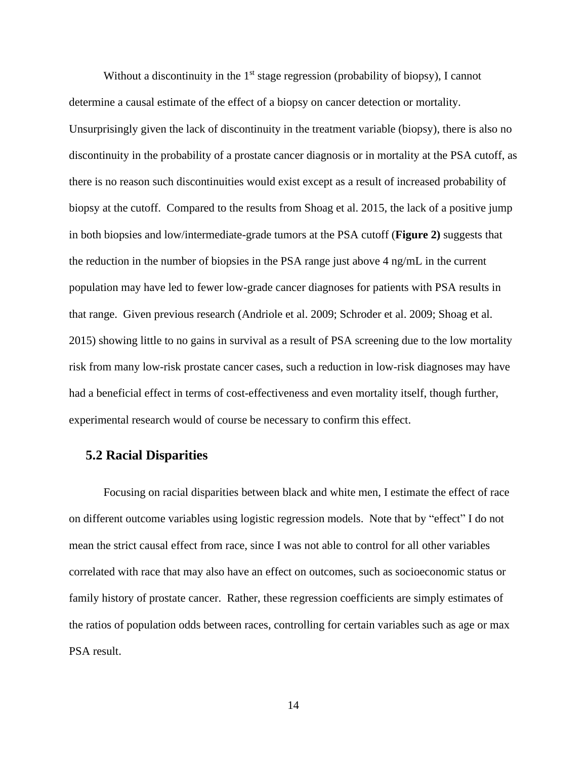Without a discontinuity in the 1<sup>st</sup> stage regression (probability of biopsy), I cannot determine a causal estimate of the effect of a biopsy on cancer detection or mortality. Unsurprisingly given the lack of discontinuity in the treatment variable (biopsy), there is also no discontinuity in the probability of a prostate cancer diagnosis or in mortality at the PSA cutoff, as there is no reason such discontinuities would exist except as a result of increased probability of biopsy at the cutoff. Compared to the results from Shoag et al. 2015, the lack of a positive jump in both biopsies and low/intermediate-grade tumors at the PSA cutoff (**Figure 2)** suggests that the reduction in the number of biopsies in the PSA range just above 4 ng/mL in the current population may have led to fewer low-grade cancer diagnoses for patients with PSA results in that range. Given previous research (Andriole et al. 2009; Schroder et al. 2009; Shoag et al. 2015) showing little to no gains in survival as a result of PSA screening due to the low mortality risk from many low-risk prostate cancer cases, such a reduction in low-risk diagnoses may have had a beneficial effect in terms of cost-effectiveness and even mortality itself, though further, experimental research would of course be necessary to confirm this effect.

### **5.2 Racial Disparities**

Focusing on racial disparities between black and white men, I estimate the effect of race on different outcome variables using logistic regression models. Note that by "effect" I do not mean the strict causal effect from race, since I was not able to control for all other variables correlated with race that may also have an effect on outcomes, such as socioeconomic status or family history of prostate cancer. Rather, these regression coefficients are simply estimates of the ratios of population odds between races, controlling for certain variables such as age or max PSA result.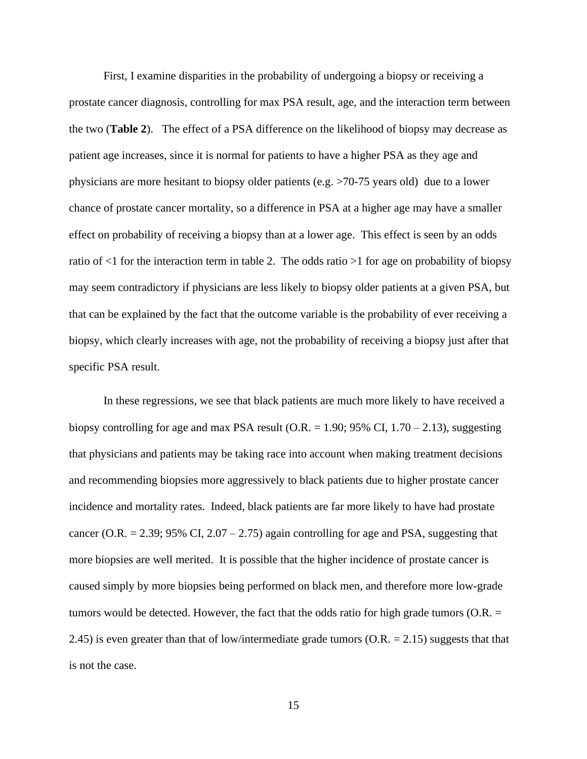First, I examine disparities in the probability of undergoing a biopsy or receiving a prostate cancer diagnosis, controlling for max PSA result, age, and the interaction term between the two (**Table 2**). The effect of a PSA difference on the likelihood of biopsy may decrease as patient age increases, since it is normal for patients to have a higher PSA as they age and physicians are more hesitant to biopsy older patients (e.g. >70-75 years old) due to a lower chance of prostate cancer mortality, so a difference in PSA at a higher age may have a smaller effect on probability of receiving a biopsy than at a lower age. This effect is seen by an odds ratio of  $\leq 1$  for the interaction term in table 2. The odds ratio  $>1$  for age on probability of biopsy may seem contradictory if physicians are less likely to biopsy older patients at a given PSA, but that can be explained by the fact that the outcome variable is the probability of ever receiving a biopsy, which clearly increases with age, not the probability of receiving a biopsy just after that specific PSA result.

In these regressions, we see that black patients are much more likely to have received a biopsy controlling for age and max PSA result (O.R.  $= 1.90$ ; 95% CI, 1.70 – 2.13), suggesting that physicians and patients may be taking race into account when making treatment decisions and recommending biopsies more aggressively to black patients due to higher prostate cancer incidence and mortality rates. Indeed, black patients are far more likely to have had prostate cancer (O.R.  $= 2.39$ ; 95% CI, 2.07 – 2.75) again controlling for age and PSA, suggesting that more biopsies are well merited. It is possible that the higher incidence of prostate cancer is caused simply by more biopsies being performed on black men, and therefore more low-grade tumors would be detected. However, the fact that the odds ratio for high grade tumors  $(O.R. =$ 2.45) is even greater than that of low/intermediate grade tumors  $(O.R. = 2.15)$  suggests that that is not the case.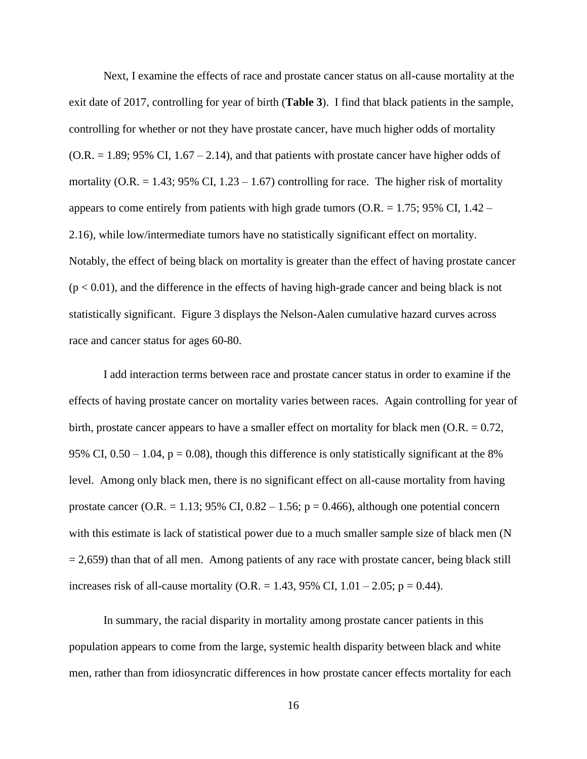Next, I examine the effects of race and prostate cancer status on all-cause mortality at the exit date of 2017, controlling for year of birth (**Table 3**). I find that black patients in the sample, controlling for whether or not they have prostate cancer, have much higher odds of mortality  $(O.R. = 1.89; 95\% \text{ CI}, 1.67 - 2.14)$ , and that patients with prostate cancer have higher odds of mortality (O.R.  $= 1.43$ ; 95% CI, 1.23 – 1.67) controlling for race. The higher risk of mortality appears to come entirely from patients with high grade tumors ( $O.R. = 1.75$ ; 95% CI,  $1.42 -$ 2.16), while low/intermediate tumors have no statistically significant effect on mortality. Notably, the effect of being black on mortality is greater than the effect of having prostate cancer  $(p < 0.01)$ , and the difference in the effects of having high-grade cancer and being black is not statistically significant. Figure 3 displays the Nelson-Aalen cumulative hazard curves across race and cancer status for ages 60-80.

I add interaction terms between race and prostate cancer status in order to examine if the effects of having prostate cancer on mortality varies between races. Again controlling for year of birth, prostate cancer appears to have a smaller effect on mortality for black men  $(0.R. = 0.72)$ , 95% CI,  $0.50 - 1.04$ ,  $p = 0.08$ ), though this difference is only statistically significant at the 8% level. Among only black men, there is no significant effect on all-cause mortality from having prostate cancer (O.R. = 1.13; 95% CI,  $0.82 - 1.56$ ; p = 0.466), although one potential concern with this estimate is lack of statistical power due to a much smaller sample size of black men (N  $= 2,659$ ) than that of all men. Among patients of any race with prostate cancer, being black still increases risk of all-cause mortality (O.R. = 1.43, 95% CI,  $1.01 - 2.05$ ; p = 0.44).

In summary, the racial disparity in mortality among prostate cancer patients in this population appears to come from the large, systemic health disparity between black and white men, rather than from idiosyncratic differences in how prostate cancer effects mortality for each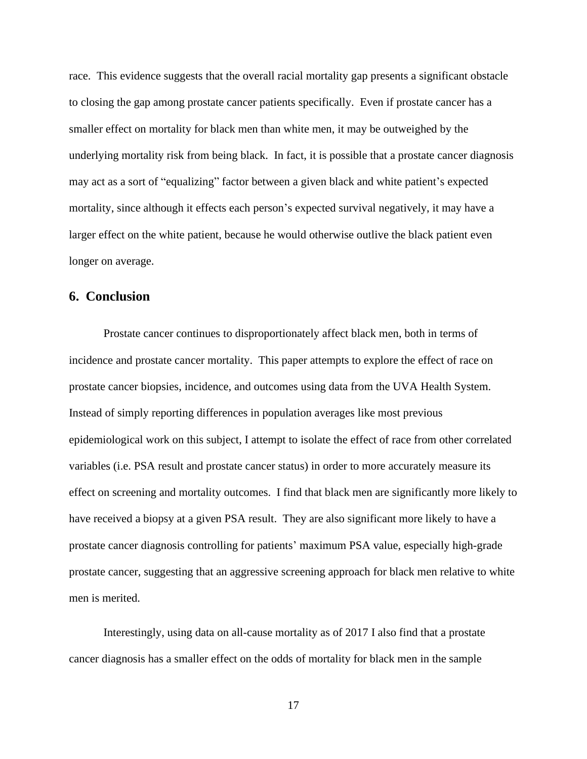race. This evidence suggests that the overall racial mortality gap presents a significant obstacle to closing the gap among prostate cancer patients specifically. Even if prostate cancer has a smaller effect on mortality for black men than white men, it may be outweighed by the underlying mortality risk from being black. In fact, it is possible that a prostate cancer diagnosis may act as a sort of "equalizing" factor between a given black and white patient's expected mortality, since although it effects each person's expected survival negatively, it may have a larger effect on the white patient, because he would otherwise outlive the black patient even longer on average.

### **6. Conclusion**

Prostate cancer continues to disproportionately affect black men, both in terms of incidence and prostate cancer mortality. This paper attempts to explore the effect of race on prostate cancer biopsies, incidence, and outcomes using data from the UVA Health System. Instead of simply reporting differences in population averages like most previous epidemiological work on this subject, I attempt to isolate the effect of race from other correlated variables (i.e. PSA result and prostate cancer status) in order to more accurately measure its effect on screening and mortality outcomes. I find that black men are significantly more likely to have received a biopsy at a given PSA result. They are also significant more likely to have a prostate cancer diagnosis controlling for patients' maximum PSA value, especially high-grade prostate cancer, suggesting that an aggressive screening approach for black men relative to white men is merited.

Interestingly, using data on all-cause mortality as of 2017 I also find that a prostate cancer diagnosis has a smaller effect on the odds of mortality for black men in the sample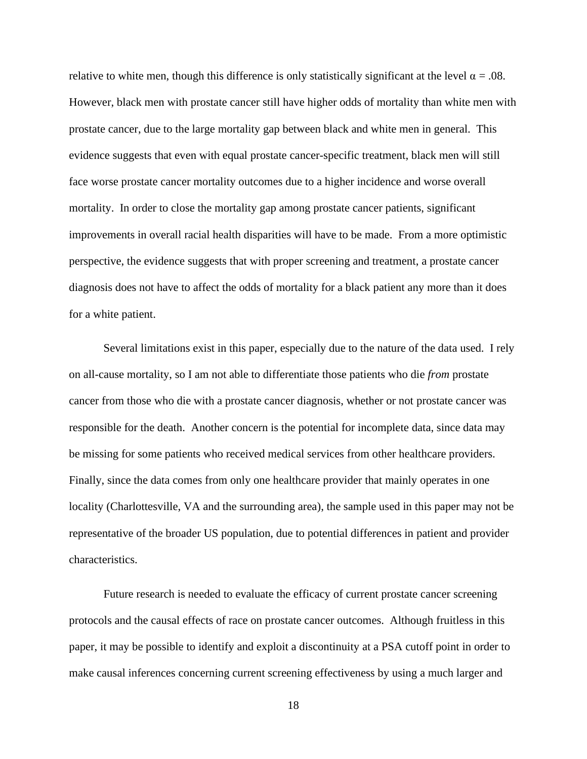relative to white men, though this difference is only statistically significant at the level  $\alpha = .08$ . However, black men with prostate cancer still have higher odds of mortality than white men with prostate cancer, due to the large mortality gap between black and white men in general. This evidence suggests that even with equal prostate cancer-specific treatment, black men will still face worse prostate cancer mortality outcomes due to a higher incidence and worse overall mortality. In order to close the mortality gap among prostate cancer patients, significant improvements in overall racial health disparities will have to be made. From a more optimistic perspective, the evidence suggests that with proper screening and treatment, a prostate cancer diagnosis does not have to affect the odds of mortality for a black patient any more than it does for a white patient.

Several limitations exist in this paper, especially due to the nature of the data used. I rely on all-cause mortality, so I am not able to differentiate those patients who die *from* prostate cancer from those who die with a prostate cancer diagnosis, whether or not prostate cancer was responsible for the death. Another concern is the potential for incomplete data, since data may be missing for some patients who received medical services from other healthcare providers. Finally, since the data comes from only one healthcare provider that mainly operates in one locality (Charlottesville, VA and the surrounding area), the sample used in this paper may not be representative of the broader US population, due to potential differences in patient and provider characteristics.

Future research is needed to evaluate the efficacy of current prostate cancer screening protocols and the causal effects of race on prostate cancer outcomes. Although fruitless in this paper, it may be possible to identify and exploit a discontinuity at a PSA cutoff point in order to make causal inferences concerning current screening effectiveness by using a much larger and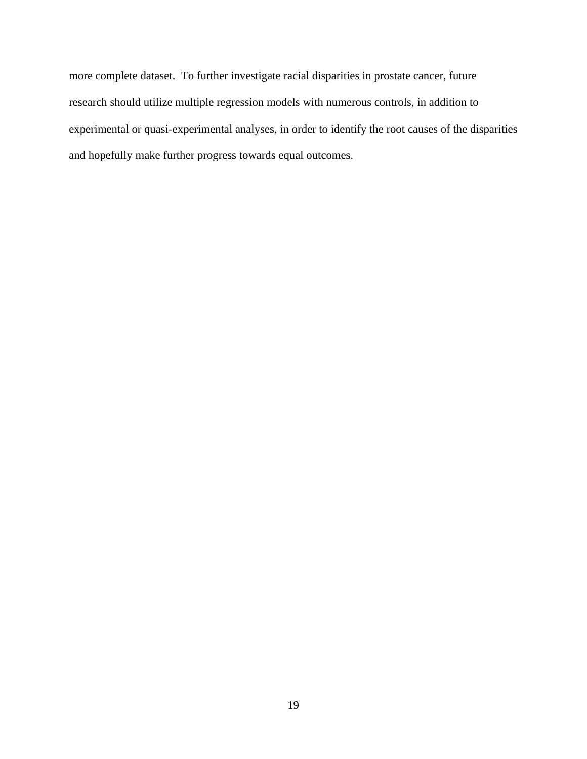more complete dataset. To further investigate racial disparities in prostate cancer, future research should utilize multiple regression models with numerous controls, in addition to experimental or quasi-experimental analyses, in order to identify the root causes of the disparities and hopefully make further progress towards equal outcomes.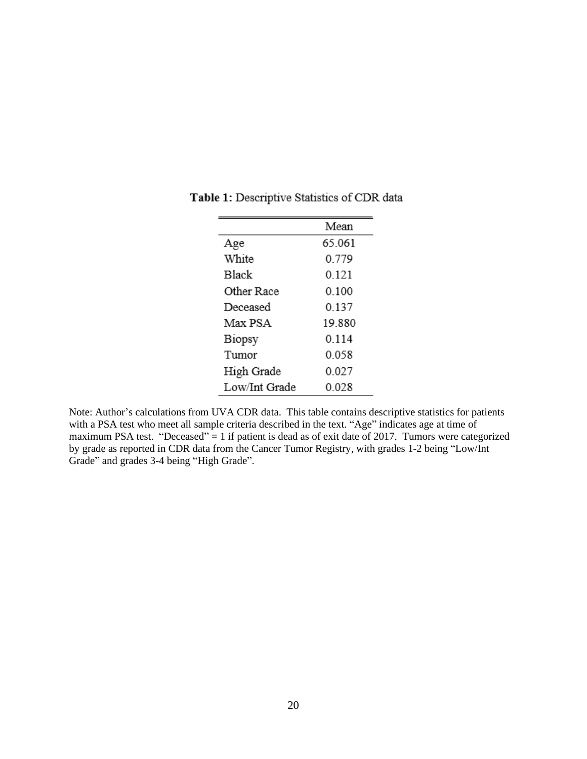|               | Mean    |
|---------------|---------|
| Age           | 65.061  |
| White         | 0.779   |
| Black         | 0.121   |
| Other Race    | 0.100   |
| Deceased      | 0.137   |
| Max PSA       | 19.880  |
| Biopsy        | 0 1 1 4 |
| Tumor         | 0.058   |
| High Grade    | 0.027   |
| Low/Int Grade | 0 028   |

Table 1: Descriptive Statistics of CDR data

Note: Author's calculations from UVA CDR data. This table contains descriptive statistics for patients with a PSA test who meet all sample criteria described in the text. "Age" indicates age at time of maximum PSA test. "Deceased" = 1 if patient is dead as of exit date of 2017. Tumors were categorized by grade as reported in CDR data from the Cancer Tumor Registry, with grades 1-2 being "Low/Int Grade" and grades 3-4 being "High Grade".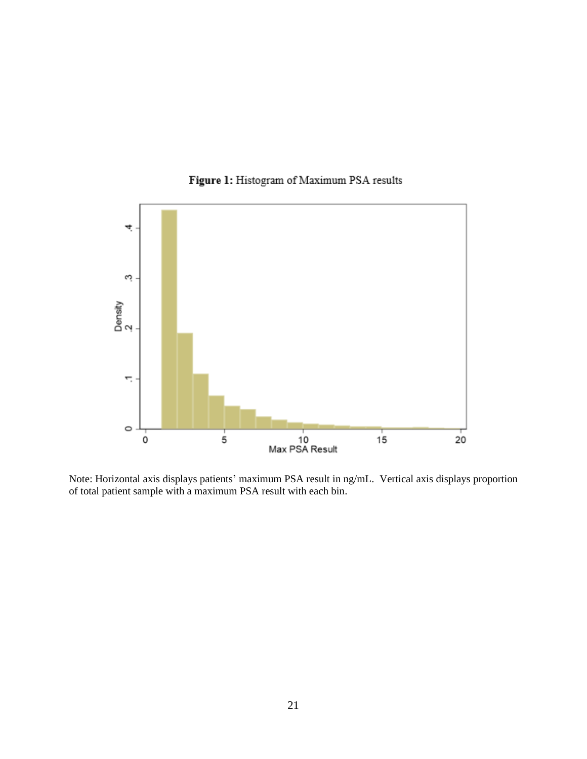

Figure 1: Histogram of Maximum PSA results

Note: Horizontal axis displays patients' maximum PSA result in ng/mL. Vertical axis displays proportion of total patient sample with a maximum PSA result with each bin.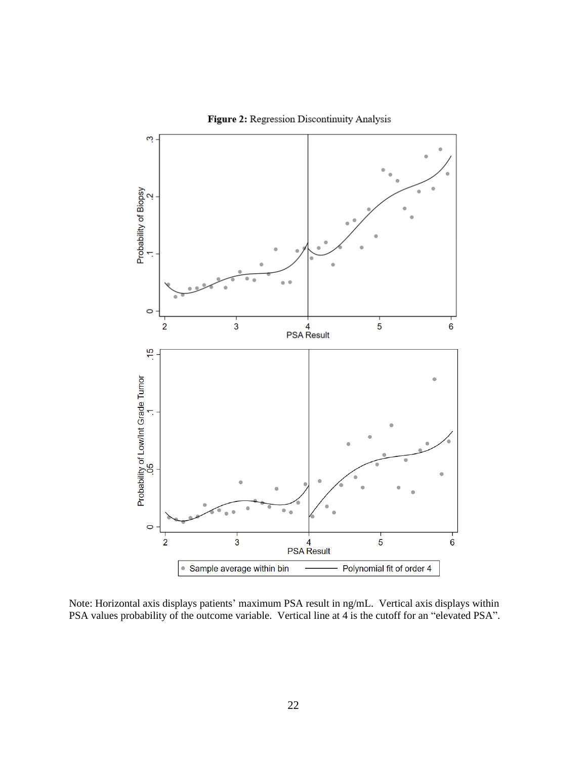

Figure 2: Regression Discontinuity Analysis

Note: Horizontal axis displays patients' maximum PSA result in ng/mL. Vertical axis displays within PSA values probability of the outcome variable. Vertical line at 4 is the cutoff for an "elevated PSA".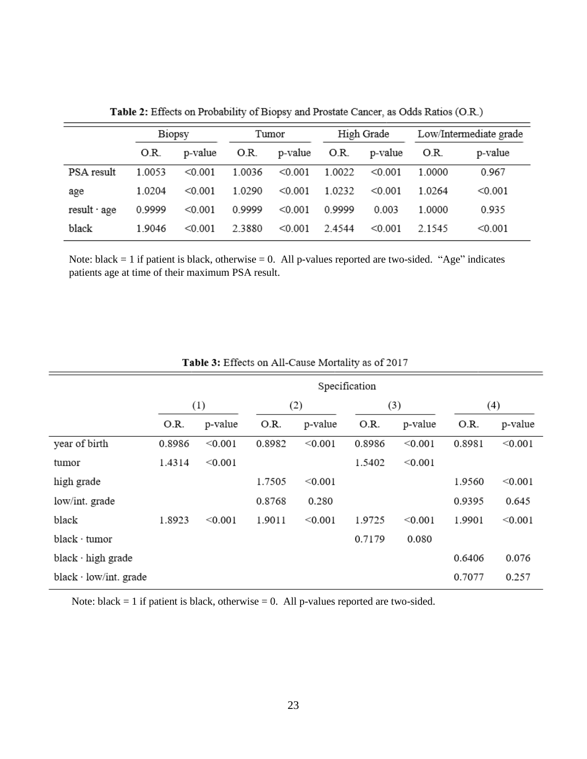|              | Biopsy |         | Tumor   |         | High Grade |         | Low/Intermediate grade |         |
|--------------|--------|---------|---------|---------|------------|---------|------------------------|---------|
|              | O.R.   | p-value | O.R.    | p-value | O.R.       | p-value | O.R.                   | p-value |
| PSA result   | 1.0053 | < 0.001 | 1.0036  | < 0.001 | 1.0022     | < 0.001 | 1.0000                 | 0.967   |
| age          | 1.0204 | < 0.001 | 1 02.90 | < 0.001 | 1.0232     | < 0.001 | 1 0 2 6 4              | < 0.001 |
| result · age | 0.9999 | < 0.001 | 0.9999  | < 0.001 | 09999      | 0.003   | 1.0000                 | 0.935   |
| black        | 1.9046 | < 0.001 | 2.3880  | < 0.001 | 2.4544     | < 0.001 | 2.1545                 | < 0.001 |

Table 2: Effects on Probability of Biopsy and Prostate Cancer, as Odds Ratios (O.R.)

Note: black  $= 1$  if patient is black, otherwise  $= 0$ . All p-values reported are two-sided. "Age" indicates patients age at time of their maximum PSA result.

|                              | Specification |         |        |         |        |         |        |         |  |
|------------------------------|---------------|---------|--------|---------|--------|---------|--------|---------|--|
|                              | (1)           |         | (2)    |         | (3)    |         | (4)    |         |  |
|                              | O.R.          | p-value | O.R.   | p-value | O.R.   | p-value | O.R.   | p-value |  |
| year of birth                | 0.8986        | < 0.001 | 0.8982 | < 0.001 | 0.8986 | < 0.001 | 0.8981 | < 0.001 |  |
| tumor                        | 1.4314        | < 0.001 |        |         | 1.5402 | < 0.001 |        |         |  |
| high grade                   |               |         | 1.7505 | < 0.001 |        |         | 1.9560 | < 0.001 |  |
| low/int. grade               |               |         | 0.8768 | 0.280   |        |         | 0.9395 | 0.645   |  |
| black                        | 1.8923        | < 0.001 | 1.9011 | < 0.001 | 1.9725 | < 0.001 | 1.9901 | < 0.001 |  |
| $black \cdot tumor$          |               |         |        |         | 0.7179 | 0.080   |        |         |  |
| black · high grade           |               |         |        |         |        |         | 0.6406 | 0.076   |  |
| black $\cdot$ low/int. grade |               |         |        |         |        |         | 0.7077 | 0.257   |  |

Table 3: Effects on All-Cause Mortality as of 2017

Note: black  $= 1$  if patient is black, otherwise  $= 0$ . All p-values reported are two-sided.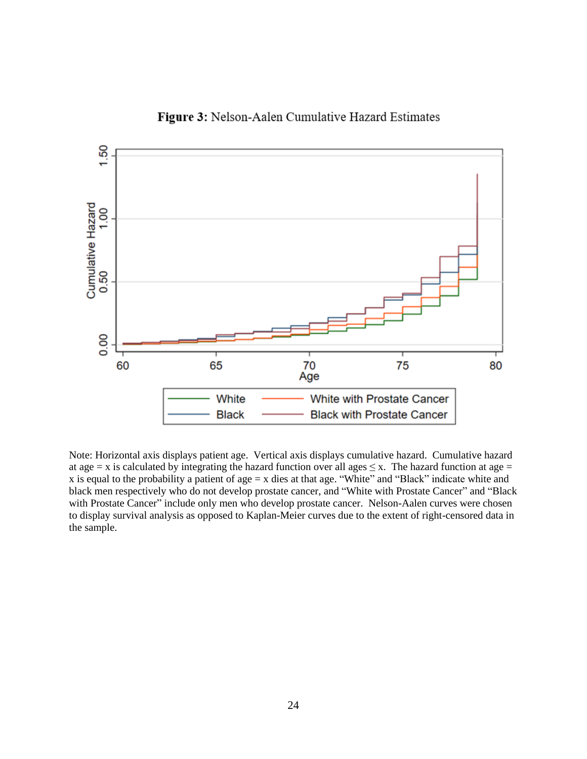

# Figure 3: Nelson-Aalen Cumulative Hazard Estimates

Note: Horizontal axis displays patient age. Vertical axis displays cumulative hazard. Cumulative hazard at age = x is calculated by integrating the hazard function over all ages  $\leq x$ . The hazard function at age = x is equal to the probability a patient of age = x dies at that age. "White" and "Black" indicate white and black men respectively who do not develop prostate cancer, and "White with Prostate Cancer" and "Black with Prostate Cancer" include only men who develop prostate cancer. Nelson-Aalen curves were chosen to display survival analysis as opposed to Kaplan-Meier curves due to the extent of right-censored data in the sample.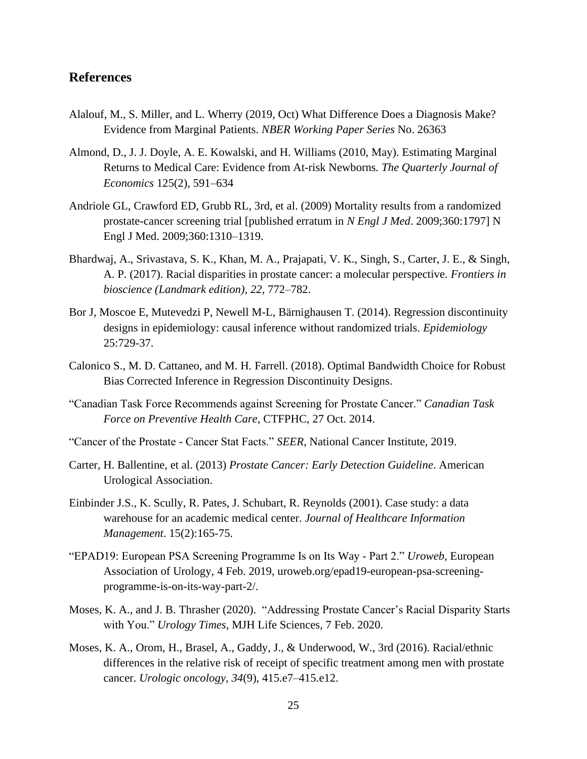# **References**

- Alalouf, M., S. Miller, and L. Wherry (2019, Oct) What Difference Does a Diagnosis Make? Evidence from Marginal Patients. *NBER Working Paper Series* No. 26363
- Almond, D., J. J. Doyle, A. E. Kowalski, and H. Williams (2010, May). Estimating Marginal Returns to Medical Care: Evidence from At-risk Newborns*. The Quarterly Journal of Economics* 125(2), 591–634
- Andriole GL, Crawford ED, Grubb RL, 3rd, et al. (2009) Mortality results from a randomized prostate-cancer screening trial [published erratum in *N Engl J Med*. 2009;360:1797] N Engl J Med. 2009;360:1310–1319.
- Bhardwaj, A., Srivastava, S. K., Khan, M. A., Prajapati, V. K., Singh, S., Carter, J. E., & Singh, A. P. (2017). Racial disparities in prostate cancer: a molecular perspective. *Frontiers in bioscience (Landmark edition)*, *22*, 772–782.
- Bor J, Moscoe E, Mutevedzi P, Newell M-L, Bärnighausen T. (2014). Regression discontinuity designs in epidemiology: causal inference without randomized trials. *Epidemiology*  25:729-37.
- Calonico S., M. D. Cattaneo, and M. H. Farrell. (2018). Optimal Bandwidth Choice for Robust Bias Corrected Inference in Regression Discontinuity Designs.
- "Canadian Task Force Recommends against Screening for Prostate Cancer." *Canadian Task Force on Preventive Health Care*, CTFPHC, 27 Oct. 2014.
- "Cancer of the Prostate Cancer Stat Facts." *SEER*, National Cancer Institute, 2019.
- Carter, H. Ballentine, et al. (2013) *Prostate Cancer: Early Detection Guideline*. American Urological Association.
- Einbinder J.S., K. Scully, R. Pates, J. Schubart, R. Reynolds (2001). Case study: a data warehouse for an academic medical center. *Journal of Healthcare Information Management*. 15(2):165-75.
- "EPAD19: European PSA Screening Programme Is on Its Way Part 2." *Uroweb*, European Association of Urology, 4 Feb. 2019, uroweb.org/epad19-european-psa-screeningprogramme-is-on-its-way-part-2/.
- Moses, K. A., and J. B. Thrasher (2020). "Addressing Prostate Cancer's Racial Disparity Starts with You." *Urology Times*, MJH Life Sciences, 7 Feb. 2020.
- Moses, K. A., Orom, H., Brasel, A., Gaddy, J., & Underwood, W., 3rd (2016). Racial/ethnic differences in the relative risk of receipt of specific treatment among men with prostate cancer. *Urologic oncology*, *34*(9), 415.e7–415.e12.